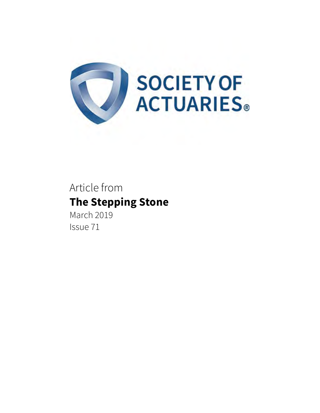

## Article from **The Stepping Stone**

March 2019 Issue 71